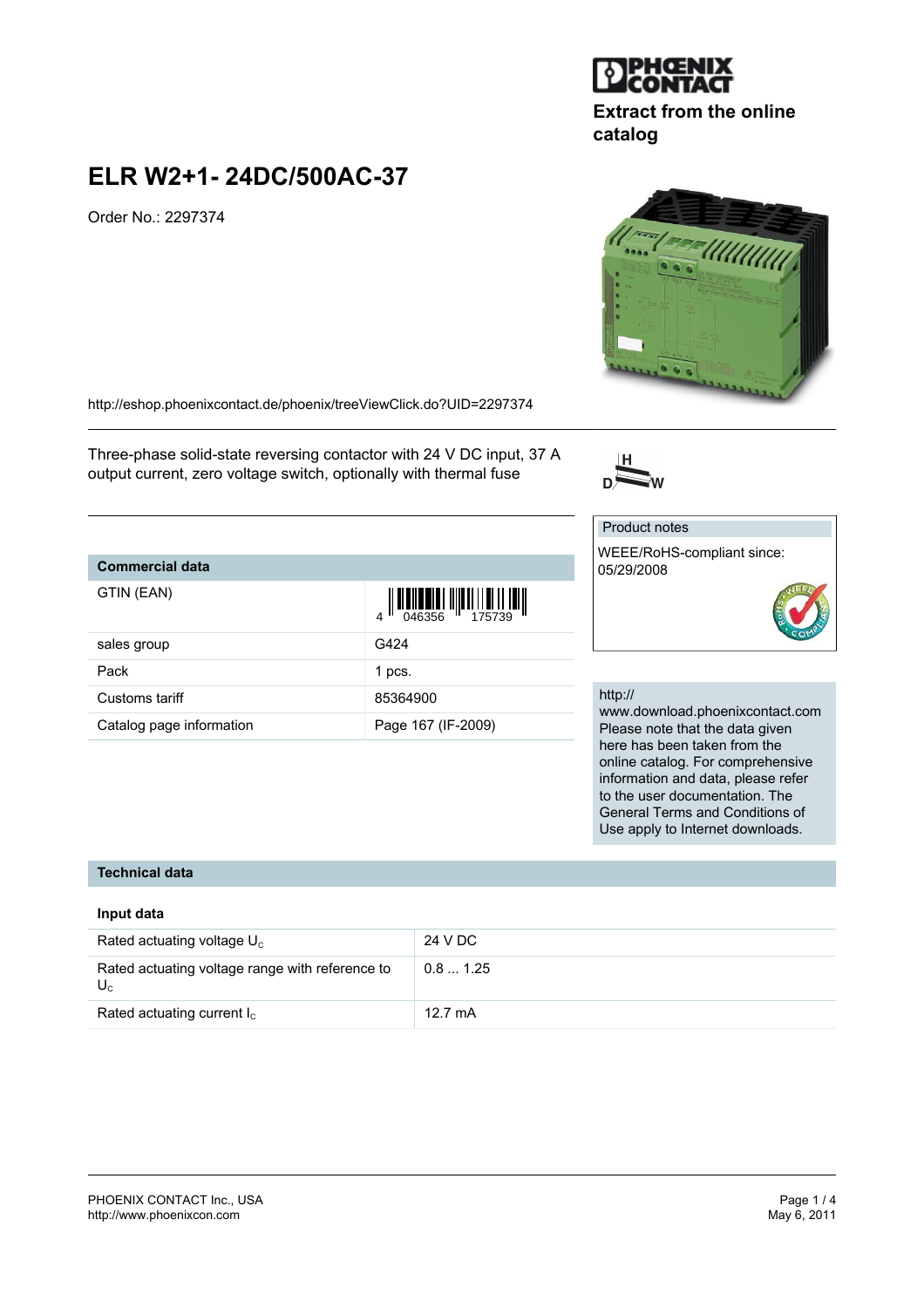# Order No.: 2297374

**ELR W2+1- 24DC/500AC-37**

<http://eshop.phoenixcontact.de/phoenix/treeViewClick.do?UID=2297374>

Three-phase solid-state reversing contactor with 24 V DC input, 37 A output current, zero voltage switch, optionally with thermal fuse

## **Commercial data**

| GTIN (EAN)               | $\begin{array}{c} 1 \\ 0 \\ 0 \\ 46356 \end{array}$ |
|--------------------------|-----------------------------------------------------|
| sales group              | G424                                                |
| Pack                     | 1 pcs.                                              |
| Customs tariff           | 85364900                                            |
| Catalog page information | Page 167 (IF-2009)                                  |

## http://

Product notes

05/29/2008

www.download.phoenixcontact.com Please note that the data given here has been taken from the online catalog. For comprehensive information and data, please refer to the user documentation. The General Terms and Conditions of Use apply to Internet downloads.

## **Technical data**

#### **Input data**

| Rated actuating voltage $U_c$                            | 24 V DC           |
|----------------------------------------------------------|-------------------|
| Rated actuating voltage range with reference to<br>$U_c$ | 0.81.25           |
| Rated actuating current $I_c$                            | $12.7 \text{ mA}$ |



**Extract from the online**







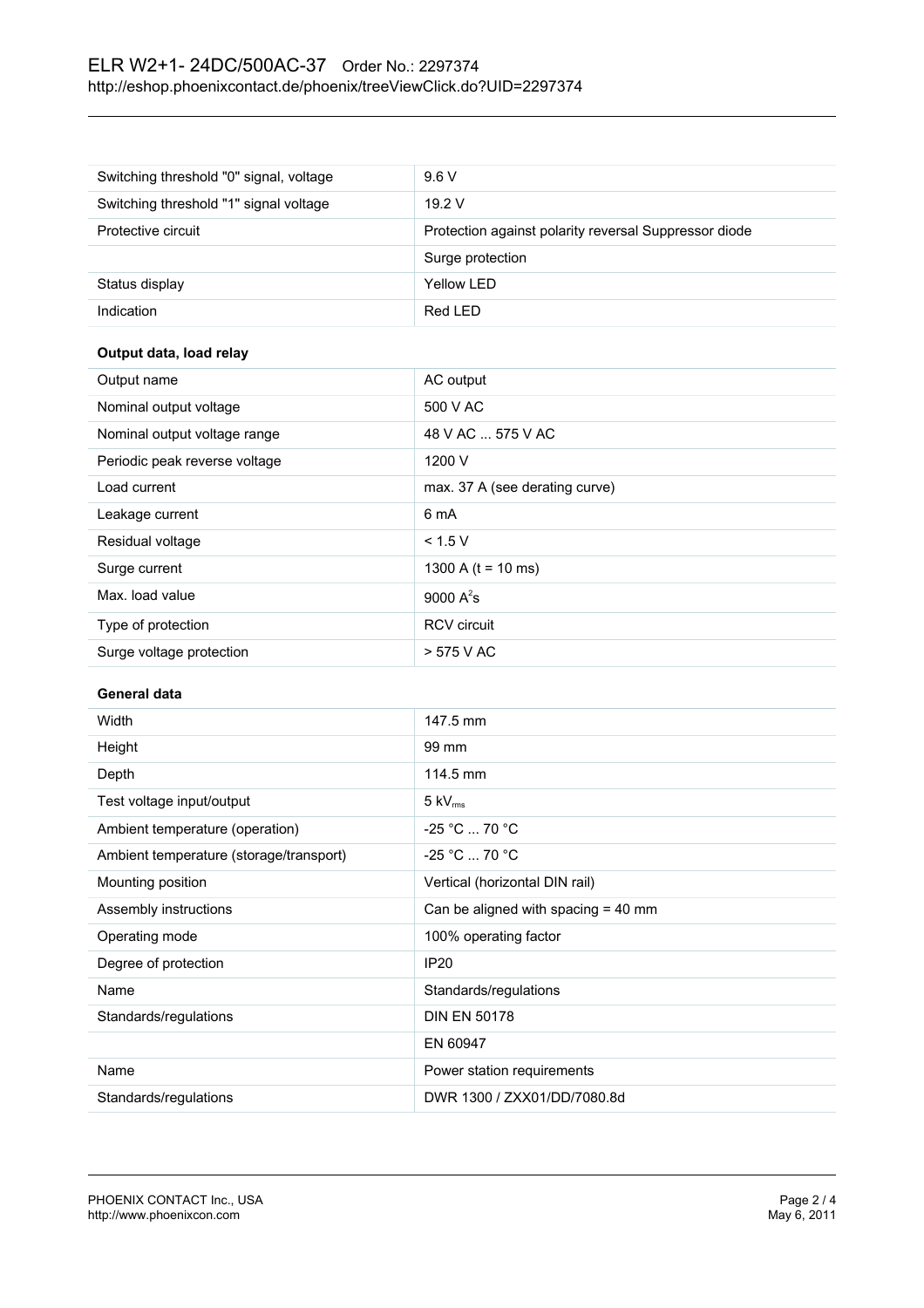# ELR W2+1- 24DC/500AC-37 Order No.: 2297374 <http://eshop.phoenixcontact.de/phoenix/treeViewClick.do?UID=2297374>

| Switching threshold "0" signal, voltage | 9.6V                                                  |
|-----------------------------------------|-------------------------------------------------------|
| Switching threshold "1" signal voltage  | 19.2V                                                 |
| Protective circuit                      | Protection against polarity reversal Suppressor diode |
|                                         | Surge protection                                      |
| Status display                          | Yellow LED                                            |
| Indication                              | Red LED                                               |

### **Output data, load relay**

| Output name                   | AC output                      |
|-------------------------------|--------------------------------|
| Nominal output voltage        | 500 V AC                       |
| Nominal output voltage range  | 48 V AC  575 V AC              |
| Periodic peak reverse voltage | 1200 V                         |
| Load current                  | max. 37 A (see derating curve) |
| Leakage current               | 6 mA                           |
| Residual voltage              | < 1.5 V                        |
| Surge current                 | 1300 A ( $t = 10$ ms)          |
| Max. load value               | 9000 $A^2$ s                   |
| Type of protection            | <b>RCV</b> circuit             |
| Surge voltage protection      | $> 575$ V AC                   |

#### **General data**

| Width                                   | 147.5 mm                              |
|-----------------------------------------|---------------------------------------|
| Height                                  | 99 mm                                 |
| Depth                                   | 114.5 mm                              |
| Test voltage input/output               | $5 \text{ kV}_{\text{rms}}$           |
| Ambient temperature (operation)         | $-25 °C  70 °C$                       |
| Ambient temperature (storage/transport) | $-25 °C  70 °C$                       |
| Mounting position                       | Vertical (horizontal DIN rail)        |
| Assembly instructions                   | Can be aligned with spacing $=$ 40 mm |
| Operating mode                          | 100% operating factor                 |
| Degree of protection                    | <b>IP20</b>                           |
| Name                                    | Standards/regulations                 |
| Standards/regulations                   | <b>DIN EN 50178</b>                   |
|                                         | EN 60947                              |
| Name                                    | Power station requirements            |
| Standards/regulations                   | DWR 1300 / ZXX01/DD/7080.8d           |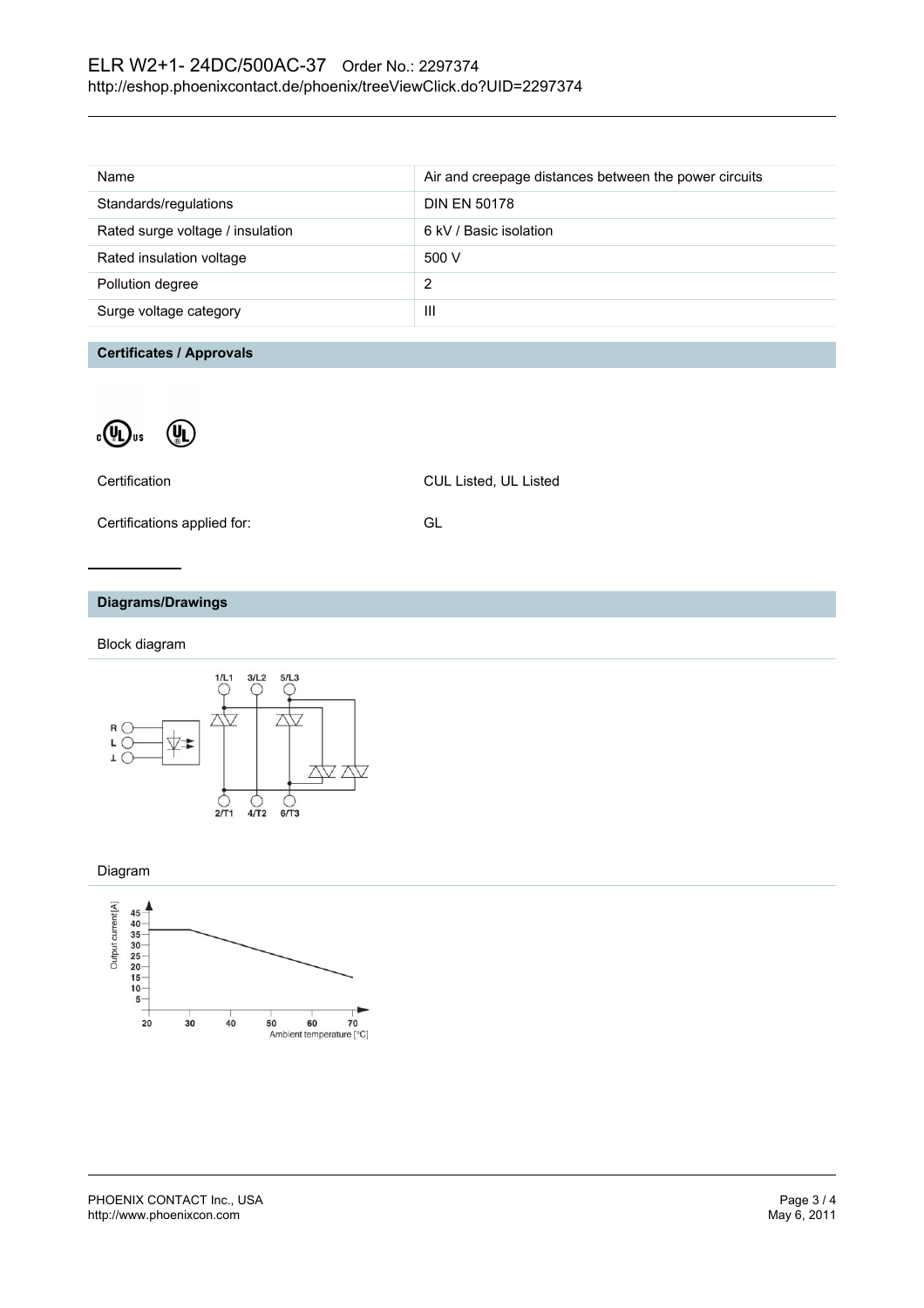| Name                             | Air and creepage distances between the power circuits |
|----------------------------------|-------------------------------------------------------|
| Standards/regulations            | <b>DIN EN 50178</b>                                   |
| Rated surge voltage / insulation | 6 kV / Basic isolation                                |
| Rated insulation voltage         | 500 V                                                 |
| Pollution degree                 | 2                                                     |
| Surge voltage category           | Ш                                                     |
|                                  |                                                       |

#### **Certificates / Approvals**



| Certification               | <b>CUL Listed, UL Listed</b> |
|-----------------------------|------------------------------|
| Certifications applied for: | GL.                          |

### **Diagrams/Drawings**

Block diagram



#### Diagram